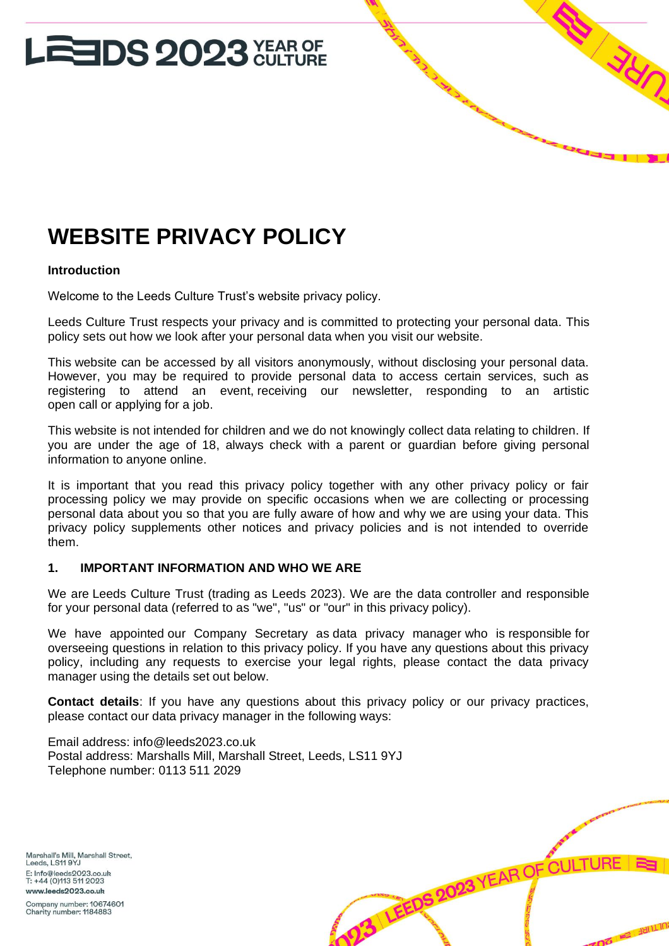

### **WEBSITE PRIVACY POLICY**

### **Introduction**

Welcome to the Leeds Culture Trust's website privacy policy.

Leeds Culture Trust respects your privacy and is committed to protecting your personal data. This policy sets out how we look after your personal data when you visit our website.

This website can be accessed by all visitors anonymously, without disclosing your personal data. However, you may be required to provide personal data to access certain services, such as registering to attend an event, receiving our newsletter, responding to an artistic open call or applying for a job.

This website is not intended for children and we do not knowingly collect data relating to children. If you are under the age of 18, always check with a parent or guardian before giving personal information to anyone online.

It is important that you read this privacy policy together with any other privacy policy or fair processing policy we may provide on specific occasions when we are collecting or processing personal data about you so that you are fully aware of how and why we are using your data. This privacy policy supplements other notices and privacy policies and is not intended to override them.

### **1. IMPORTANT INFORMATION AND WHO WE ARE**

We are Leeds Culture Trust (trading as Leeds 2023). We are the data controller and responsible for your personal data (referred to as "we", "us" or "our" in this privacy policy).

We have appointed our Company Secretary as data privacy manager who is responsible for overseeing questions in relation to this privacy policy. If you have any questions about this privacy policy, including any requests to exercise your legal rights, please contact the data privacy manager using the details set out below.

**Contact details**: If you have any questions about this privacy policy or our privacy practices, please contact our data privacy manager in the following ways:

Email address: info@leeds2023.co.uk Postal address: Marshalls Mill, Marshall Street, Leeds, LS11 9YJ Telephone number: 0113 511 2029

Marshall's Mill, Marshall Street, Leeds, LS119YJ E: Info@leeds2023.co.uk<br>T: +44 (0)113 511 2023 www.leeds2023.co.uk Company number: 10674601<br>Charity number: 1184883



**PRESS**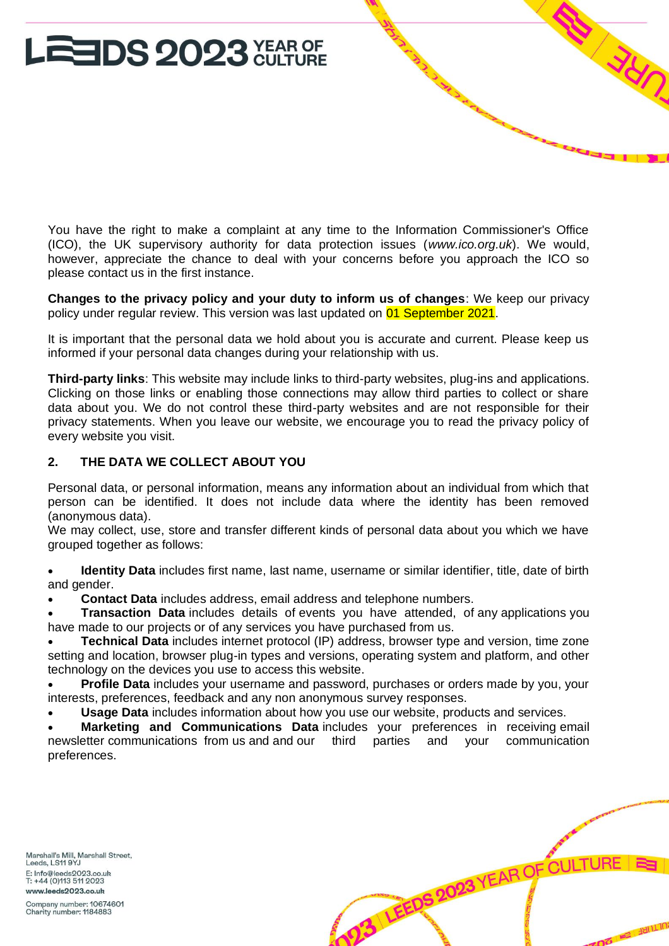

You have the right to make a complaint at any time to the Information Commissioner's Office (ICO), the UK supervisory authority for data protection issues (*www.ico.org.uk*). We would, however, appreciate the chance to deal with your concerns before you approach the ICO so please contact us in the first instance.

**Changes to the privacy policy and your duty to inform us of changes**: We keep our privacy policy under regular review. This version was last updated on 01 September 2021.

It is important that the personal data we hold about you is accurate and current. Please keep us informed if your personal data changes during your relationship with us.

**Third-party links**: This website may include links to third-party websites, plug-ins and applications. Clicking on those links or enabling those connections may allow third parties to collect or share data about you. We do not control these third-party websites and are not responsible for their privacy statements. When you leave our website, we encourage you to read the privacy policy of every website you visit.

### **2. THE DATA WE COLLECT ABOUT YOU**

Personal data, or personal information, means any information about an individual from which that person can be identified. It does not include data where the identity has been removed (anonymous data).

We may collect, use, store and transfer different kinds of personal data about you which we have grouped together as follows:

• **Identity Data** includes first name, last name, username or similar identifier, title, date of birth and gender.

• **Contact Data** includes address, email address and telephone numbers.

**Transaction Data** includes details of events you have attended, of any applications you have made to our projects or of any services you have purchased from us.

• **Technical Data** includes internet protocol (IP) address, browser type and version, time zone setting and location, browser plug-in types and versions, operating system and platform, and other technology on the devices you use to access this website.

• **Profile Data** includes your username and password, purchases or orders made by you, your interests, preferences, feedback and any non anonymous survey responses.

• **Usage Data** includes information about how you use our website, products and services.

**Marketing and Communications Data** includes your preferences in receiving email newsletter communications from us and and our third parties and your communication preferences.

123 LEEDS 2023 YEAR OF CULTURE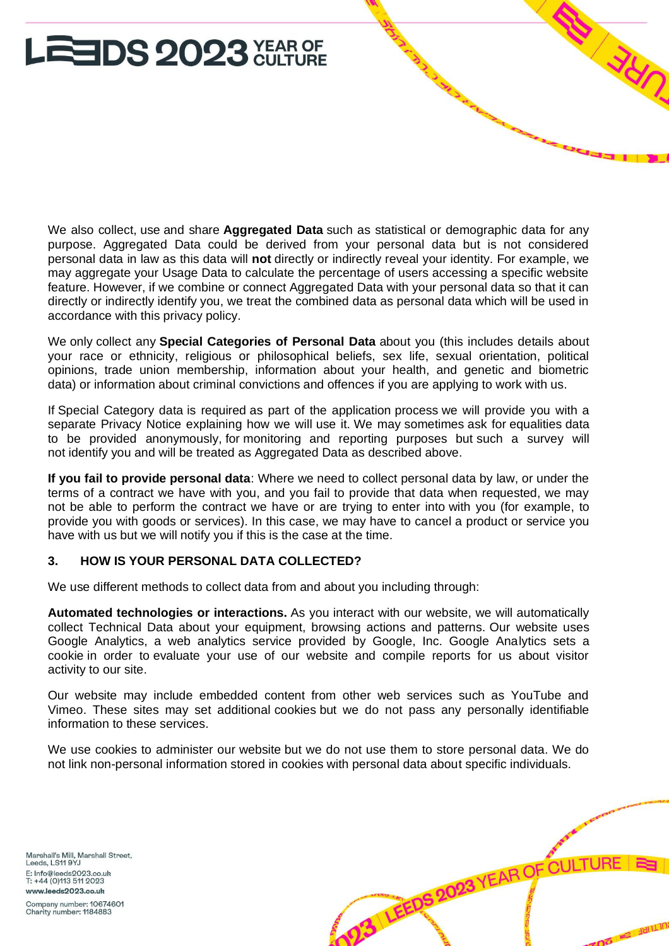# LEEDS 2023 COULTURE

We also collect, use and share **Aggregated Data** such as statistical or demographic data for any purpose. Aggregated Data could be derived from your personal data but is not considered personal data in law as this data will **not** directly or indirectly reveal your identity. For example, we may aggregate your Usage Data to calculate the percentage of users accessing a specific website feature. However, if we combine or connect Aggregated Data with your personal data so that it can directly or indirectly identify you, we treat the combined data as personal data which will be used in accordance with this privacy policy.

We only collect any **Special Categories of Personal Data** about you (this includes details about your race or ethnicity, religious or philosophical beliefs, sex life, sexual orientation, political opinions, trade union membership, information about your health, and genetic and biometric data) or information about criminal convictions and offences if you are applying to work with us.

If Special Category data is required as part of the application process we will provide you with a separate Privacy Notice explaining how we will use it. We may sometimes ask for equalities data to be provided anonymously, for monitoring and reporting purposes but such a survey will not identify you and will be treated as Aggregated Data as described above.

**If you fail to provide personal data**: Where we need to collect personal data by law, or under the terms of a contract we have with you, and you fail to provide that data when requested, we may not be able to perform the contract we have or are trying to enter into with you (for example, to provide you with goods or services). In this case, we may have to cancel a product or service you have with us but we will notify you if this is the case at the time.

### **3. HOW IS YOUR PERSONAL DATA COLLECTED?**

We use different methods to collect data from and about you including through:

**Automated technologies or interactions.** As you interact with our website, we will automatically collect Technical Data about your equipment, browsing actions and patterns. Our website uses Google Analytics, a web analytics service provided by Google, Inc. Google Analytics sets a cookie in order to evaluate your use of our website and compile reports for us about visitor activity to our site.

Our website may include embedded content from other web services such as YouTube and Vimeo. These sites may set additional cookies but we do not pass any personally identifiable information to these services.

We use cookies to administer our website but we do not use them to store personal data. We do not link non-personal information stored in cookies with personal data about specific individuals.

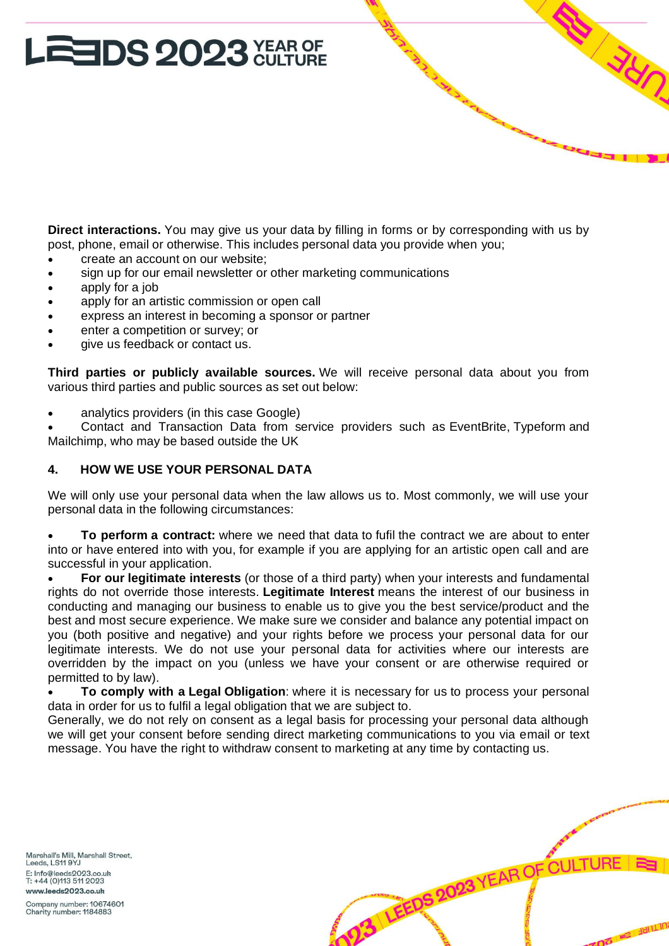# **LEEDS 2023 COLLTURE**

**Direct interactions.** You may give us your data by filling in forms or by corresponding with us by post, phone, email or otherwise. This includes personal data you provide when you;

- create an account on our website;
- sign up for our email newsletter or other marketing communications
- apply for a job
- apply for an artistic commission or open call
- express an interest in becoming a sponsor or partner
- enter a competition or survey; or
- give us feedback or contact us.

**Third parties or publicly available sources.** We will receive personal data about you from various third parties and public sources as set out below:

• analytics providers (in this case Google)

• Contact and Transaction Data from service providers such as EventBrite, Typeform and Mailchimp, who may be based outside the UK

#### **4. HOW WE USE YOUR PERSONAL DATA**

We will only use your personal data when the law allows us to. Most commonly, we will use your personal data in the following circumstances:

• **To perform a contract:** where we need that data to fufil the contract we are about to enter into or have entered into with you, for example if you are applying for an artistic open call and are successful in your application.

• **For our legitimate interests** (or those of a third party) when your interests and fundamental rights do not override those interests. **Legitimate Interest** means the interest of our business in conducting and managing our business to enable us to give you the best service/product and the best and most secure experience. We make sure we consider and balance any potential impact on you (both positive and negative) and your rights before we process your personal data for our legitimate interests. We do not use your personal data for activities where our interests are overridden by the impact on you (unless we have your consent or are otherwise required or permitted to by law).

• **To comply with a Legal Obligation**: where it is necessary for us to process your personal data in order for us to fulfil a legal obligation that we are subject to.

Generally, we do not rely on consent as a legal basis for processing your personal data although we will get your consent before sending direct marketing communications to you via email or text message. You have the right to withdraw consent to marketing at any time by contacting us.

Marshall's Mill, Marshall Street, Leeds, LS119YJ E: Info@leeds2023.co.uk<br>T: +44 (0)113 511 2023 www.leeds2023.co.uk Company number: 10674601<br>Charity number: 1184883



**PRESS**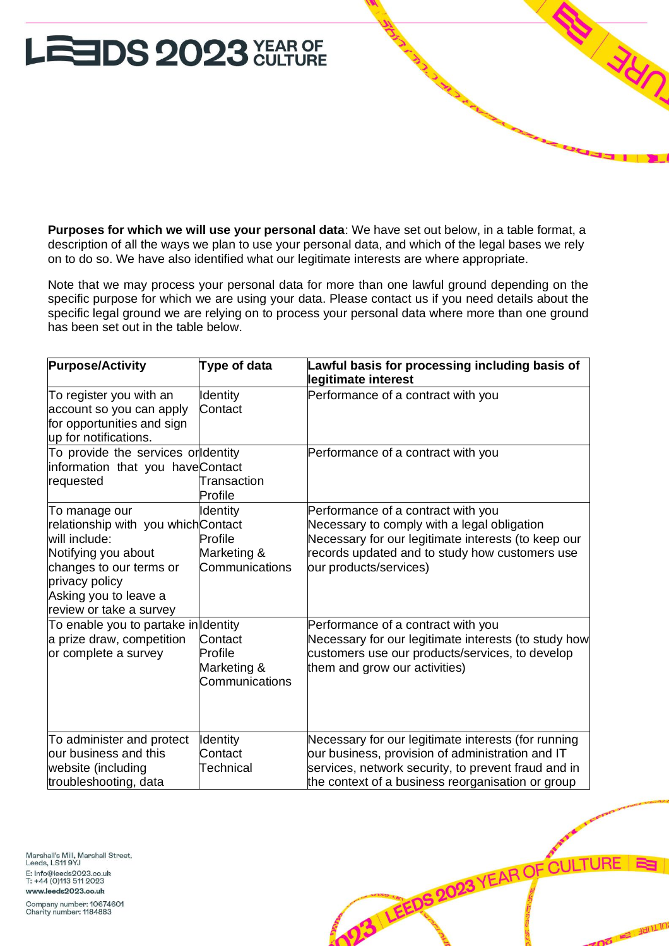## LEEDS 2023 YEAR OF

**Purposes for which we will use your personal data**: We have set out below, in a table format, a description of all the ways we plan to use your personal data, and which of the legal bases we rely on to do so. We have also identified what our legitimate interests are where appropriate.

Note that we may process your personal data for more than one lawful ground depending on the specific purpose for which we are using your data. Please contact us if you need details about the specific legal ground we are relying on to process your personal data where more than one ground has been set out in the table below.

| <b>Purpose/Activity</b>                                                                                                                                                                       | Type of data                                         | awful basis for processing including basis of<br>legitimate interest                                                                                                                                                 |
|-----------------------------------------------------------------------------------------------------------------------------------------------------------------------------------------------|------------------------------------------------------|----------------------------------------------------------------------------------------------------------------------------------------------------------------------------------------------------------------------|
| To register you with an<br>account so you can apply<br>for opportunities and sign<br>up for notifications.                                                                                    | Identity<br>Contact                                  | Performance of a contract with you                                                                                                                                                                                   |
| To provide the services or Identity<br>information that you haveContact<br>requested                                                                                                          | Transaction<br>Profile                               | Performance of a contract with you                                                                                                                                                                                   |
| To manage our<br>relationship with you which Contact<br>will include:<br>Notifying you about<br>changes to our terms or<br>privacy policy<br>Asking you to leave a<br>review or take a survey | Identity<br>Profile<br>Marketing &<br>Communications | Performance of a contract with you<br>Necessary to comply with a legal obligation<br>Necessary for our legitimate interests (to keep our<br>records updated and to study how customers use<br>our products/services) |
| To enable you to partake in Identity<br>a prize draw, competition<br>or complete a survey                                                                                                     | Contact<br>Profile<br>Marketing &<br>Communications  | Performance of a contract with you<br>Necessary for our legitimate interests (to study how<br>customers use our products/services, to develop<br>them and grow our activities)                                       |
| To administer and protect<br>our business and this<br>website (including<br>troubleshooting, data                                                                                             | Identity<br>Contact<br>Technical                     | Necessary for our legitimate interests (for running<br>our business, provision of administration and IT<br>services, network security, to prevent fraud and in<br>the context of a business reorganisation or group  |

123 LEEDS 2023 YEAR OF CULTURE

**TI IRE** 

Marshall's Mill, Marshall Street, Leeds, LS119YJ E: Info@leeds2023.co.uk<br>T: +44 (0)113 511 2023 www.leeds2023.co.uk

Company number: 10674601<br>Charity number: 1184883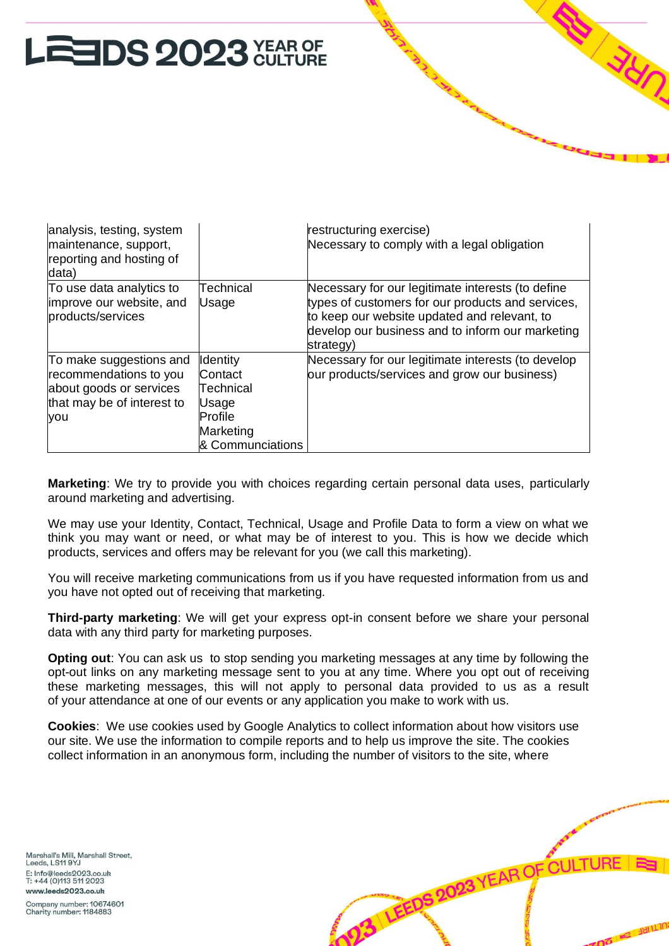### LEEDS 2023 YEAR OF

| analysis, testing, system<br>maintenance, support,<br>reporting and hosting of<br>data) |                    | restructuring exercise)<br>Necessary to comply with a legal obligation                                        |
|-----------------------------------------------------------------------------------------|--------------------|---------------------------------------------------------------------------------------------------------------|
| To use data analytics to<br>improve our website, and                                    | Technical<br>Usage | Necessary for our legitimate interests (to define<br>types of customers for our products and services,        |
| products/services                                                                       |                    | to keep our website updated and relevant, to<br>develop our business and to inform our marketing<br>strategy) |
| To make suggestions and                                                                 | <b>Identity</b>    | Necessary for our legitimate interests (to develop                                                            |
| recommendations to you                                                                  | Contact            | our products/services and grow our business)                                                                  |
| about goods or services                                                                 | Technical          |                                                                                                               |
| that may be of interest to                                                              | Usage              |                                                                                                               |
| vou                                                                                     | Profile            |                                                                                                               |
|                                                                                         | Marketing          |                                                                                                               |
|                                                                                         | & Communciations   |                                                                                                               |

**Marketing**: We try to provide you with choices regarding certain personal data uses, particularly around marketing and advertising.

We may use your Identity, Contact, Technical, Usage and Profile Data to form a view on what we think you may want or need, or what may be of interest to you. This is how we decide which products, services and offers may be relevant for you (we call this marketing).

You will receive marketing communications from us if you have requested information from us and you have not opted out of receiving that marketing.

**Third-party marketing**: We will get your express opt-in consent before we share your personal data with any third party for marketing purposes.

**Opting out**: You can ask us to stop sending you marketing messages at any time by following the opt-out links on any marketing message sent to you at any time. Where you opt out of receiving these marketing messages, this will not apply to personal data provided to us as a result of your attendance at one of our events or any application you make to work with us.

**Cookies**: We use cookies used by Google Analytics to collect information about how visitors use our site. We use the information to compile reports and to help us improve the site. The cookies collect information in an anonymous form, including the number of visitors to the site, where

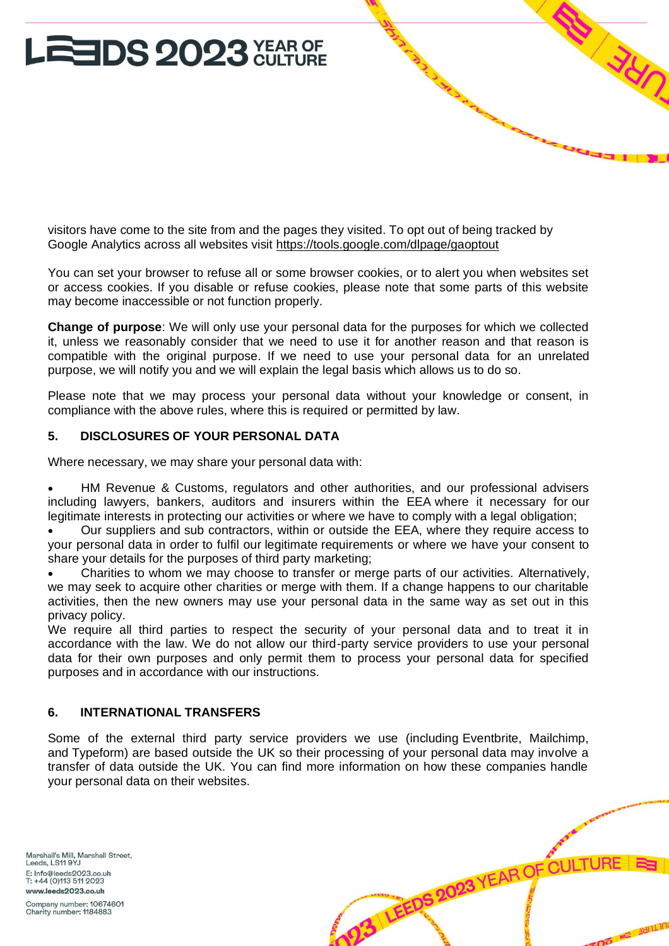# **LEEDS 2023 COLLTURE**

visitors have come to the site from and the pages they visited. To opt out of being tracked by Google Analytics across all websites visit <https://tools.google.com/dlpage/gaoptout>

You can set your browser to refuse all or some browser cookies, or to alert you when websites set or access cookies. If you disable or refuse cookies, please note that some parts of this website may become inaccessible or not function properly.

**ARTIGIC** 

**Change of purpose**: We will only use your personal data for the purposes for which we collected it, unless we reasonably consider that we need to use it for another reason and that reason is compatible with the original purpose. If we need to use your personal data for an unrelated purpose, we will notify you and we will explain the legal basis which allows us to do so.

Please note that we may process your personal data without your knowledge or consent, in compliance with the above rules, where this is required or permitted by law.

### **5. DISCLOSURES OF YOUR PERSONAL DATA**

Where necessary, we may share your personal data with:

• HM Revenue & Customs, regulators and other authorities, and our professional advisers including lawyers, bankers, auditors and insurers within the EEA where it necessary for our legitimate interests in protecting our activities or where we have to comply with a legal obligation;

• Our suppliers and sub contractors, within or outside the EEA, where they require access to your personal data in order to fulfil our legitimate requirements or where we have your consent to share your details for the purposes of third party marketing;

• Charities to whom we may choose to transfer or merge parts of our activities. Alternatively, we may seek to acquire other charities or merge with them. If a change happens to our charitable activities, then the new owners may use your personal data in the same way as set out in this privacy policy.

We require all third parties to respect the security of your personal data and to treat it in accordance with the law. We do not allow our third-party service providers to use your personal data for their own purposes and only permit them to process your personal data for specified purposes and in accordance with our instructions.

### **6. INTERNATIONAL TRANSFERS**

Some of the external third party service providers we use (including Eventbrite, Mailchimp, and Typeform) are based outside the UK so their processing of your personal data may involve a transfer of data outside the UK. You can find more information on how these companies handle your personal data on their websites.

123 LEEDS 2023 YEAR OF CULTURE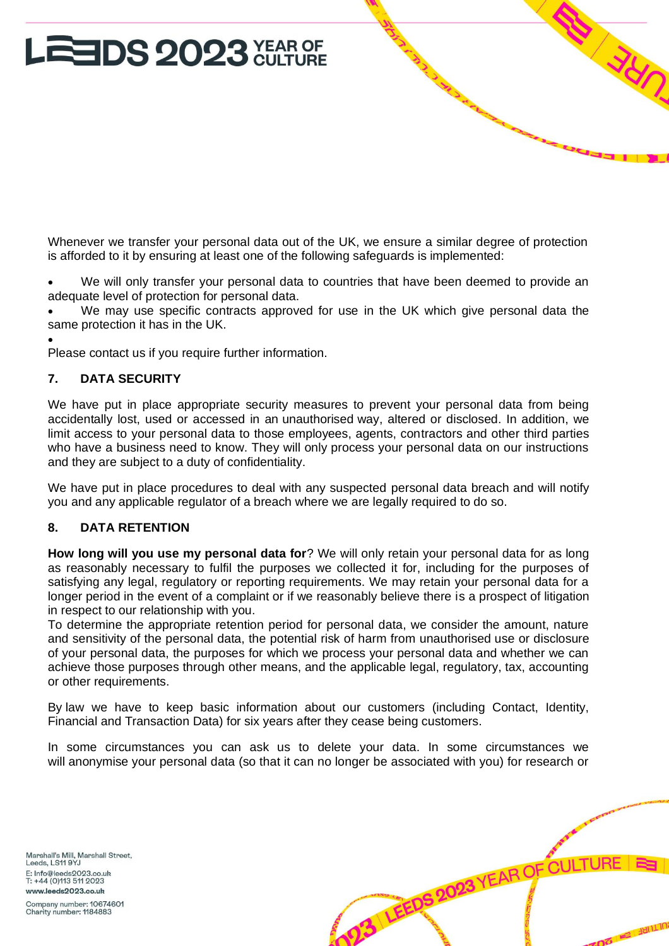# LEEDS 2023 COULTURE

Whenever we transfer your personal data out of the UK, we ensure a similar degree of protection is afforded to it by ensuring at least one of the following safeguards is implemented:

**BRAN** 

We will only transfer your personal data to countries that have been deemed to provide an adequate level of protection for personal data.

We may use specific contracts approved for use in the UK which give personal data the same protection it has in the UK.

•

Please contact us if you require further information.

### **7. DATA SECURITY**

We have put in place appropriate security measures to prevent your personal data from being accidentally lost, used or accessed in an unauthorised way, altered or disclosed. In addition, we limit access to your personal data to those employees, agents, contractors and other third parties who have a business need to know. They will only process your personal data on our instructions and they are subject to a duty of confidentiality.

We have put in place procedures to deal with any suspected personal data breach and will notify you and any applicable regulator of a breach where we are legally required to do so.

### **8. DATA RETENTION**

**How long will you use my personal data for**? We will only retain your personal data for as long as reasonably necessary to fulfil the purposes we collected it for, including for the purposes of satisfying any legal, regulatory or reporting requirements. We may retain your personal data for a longer period in the event of a complaint or if we reasonably believe there is a prospect of litigation in respect to our relationship with you.

To determine the appropriate retention period for personal data, we consider the amount, nature and sensitivity of the personal data, the potential risk of harm from unauthorised use or disclosure of your personal data, the purposes for which we process your personal data and whether we can achieve those purposes through other means, and the applicable legal, regulatory, tax, accounting or other requirements.

By law we have to keep basic information about our customers (including Contact, Identity, Financial and Transaction Data) for six years after they cease being customers.

In some circumstances you can ask us to delete your data. In some circumstances we will anonymise your personal data (so that it can no longer be associated with you) for research or

123 LEEDS 2023 YEAR OF CULTURE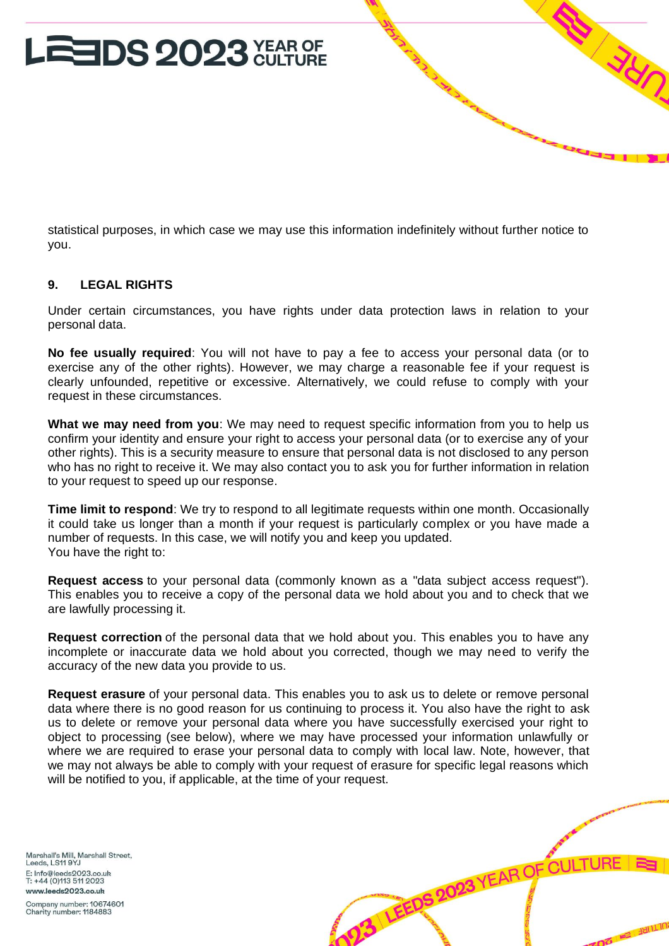

statistical purposes, in which case we may use this information indefinitely without further notice to you.

### **9. LEGAL RIGHTS**

Under certain circumstances, you have rights under data protection laws in relation to your personal data.

**No fee usually required**: You will not have to pay a fee to access your personal data (or to exercise any of the other rights). However, we may charge a reasonable fee if your request is clearly unfounded, repetitive or excessive. Alternatively, we could refuse to comply with your request in these circumstances.

**What we may need from you**: We may need to request specific information from you to help us confirm your identity and ensure your right to access your personal data (or to exercise any of your other rights). This is a security measure to ensure that personal data is not disclosed to any person who has no right to receive it. We may also contact you to ask you for further information in relation to your request to speed up our response.

**Time limit to respond:** We try to respond to all legitimate requests within one month. Occasionally it could take us longer than a month if your request is particularly complex or you have made a number of requests. In this case, we will notify you and keep you updated. You have the right to:

**Request access** to your personal data (commonly known as a "data subject access request"). This enables you to receive a copy of the personal data we hold about you and to check that we are lawfully processing it.

**Request correction** of the personal data that we hold about you. This enables you to have any incomplete or inaccurate data we hold about you corrected, though we may need to verify the accuracy of the new data you provide to us.

**Request erasure** of your personal data. This enables you to ask us to delete or remove personal data where there is no good reason for us continuing to process it. You also have the right to ask us to delete or remove your personal data where you have successfully exercised your right to object to processing (see below), where we may have processed your information unlawfully or where we are required to erase your personal data to comply with local law. Note, however, that we may not always be able to comply with your request of erasure for specific legal reasons which will be notified to you, if applicable, at the time of your request.

123 LEEDS 2023 YEAR OF CULTURE